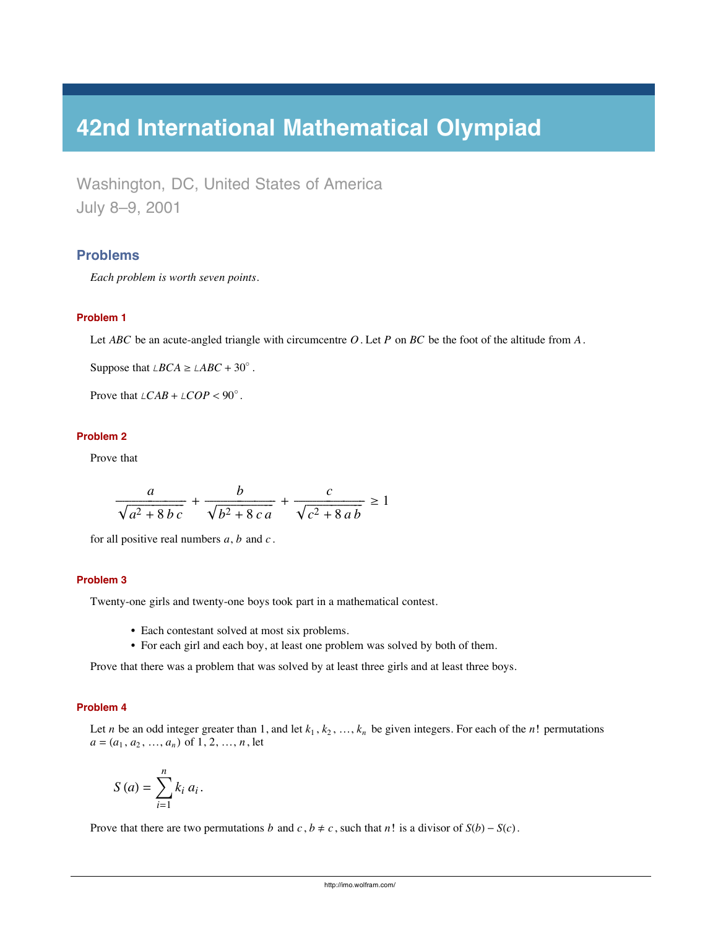# **42nd International Mathematical Olympiad**

Washington, DC, United States of America July 8–9, 2001

# **Problems**

*Each problem is worth seven points.*

# **Problem 1**

Let *ABC* be an acute-angled triangle with circumcentre *O*. Let *P* on *BC* be the foot of the altitude from *A*.

Suppose that  $\angle BCA \geq \angle ABC + 30^{\circ}$ .

Prove that  $\angle CAB + \angle COP < 90^\circ$ .

#### **Problem 2**

Prove that

$$
\frac{a}{\sqrt{a^2+8bc}}+\frac{b}{\sqrt{b^2+8ca}}+\frac{c}{\sqrt{c^2+8ab}}\geq 1
$$

for all positive real numbers *a*, *b* and *c* .

### **Problem 3**

Twenty-one girls and twenty-one boys took part in a mathematical contest.

- Each contestant solved at most six problems.
- For each girl and each boy, at least one problem was solved by both of them.

Prove that there was a problem that was solved by at least three girls and at least three boys.

#### **Problem 4**

Let *n* be an odd integer greater than 1, and let  $k_1, k_2, ..., k_n$  be given integers. For each of the *n*! permutations  $a = (a_1, a_2, \ldots, a_n)$  of 1, 2, ..., *n*, let

$$
S(a) = \sum_{i=1}^{n} k_i a_i.
$$

Prove that there are two permutations *b* and *c*,  $b \neq c$ , such that *n*! is a divisor of  $S(b) - S(c)$ .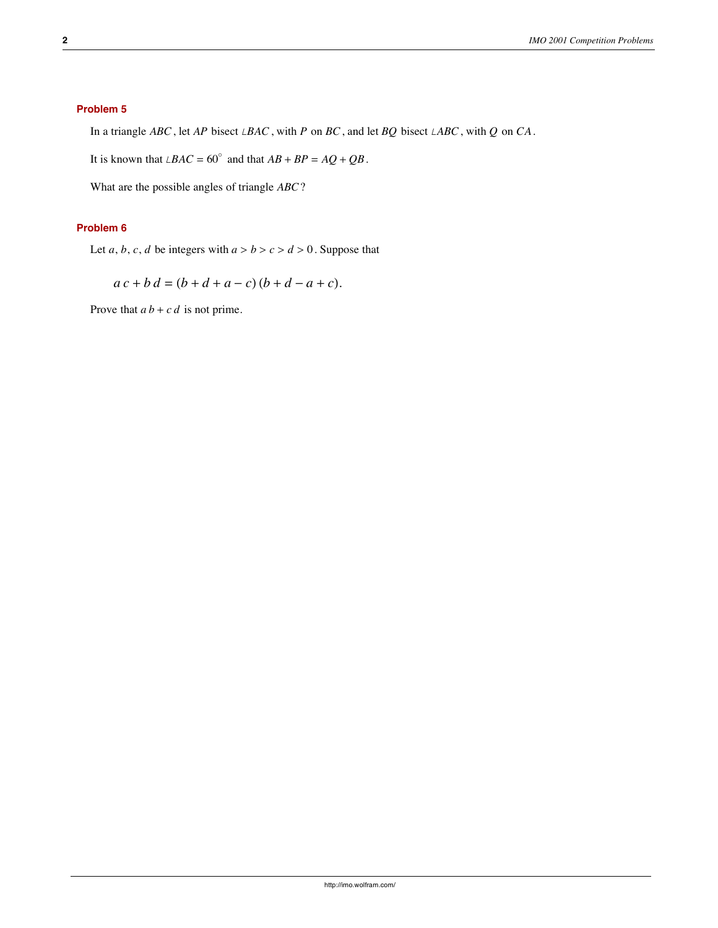# **Problem 5**

In a triangle *ABC*, let *AP* bisect *LBAC*, with *P* on *BC*, and let *BQ* bisect *LABC*, with *Q* on *CA*.

It is known that  $\angle BAC = 60^\circ$  and that  $AB + BP = AQ + QB$ .

What are the possible angles of triangle *ABC*?

# **Problem 6**

Let *a*, *b*, *c*, *d* be integers with  $a > b > c > d > 0$ . Suppose that

 $a c + b d = (b + d + a - c) (b + d - a + c).$ 

Prove that  $a b + c d$  is not prime.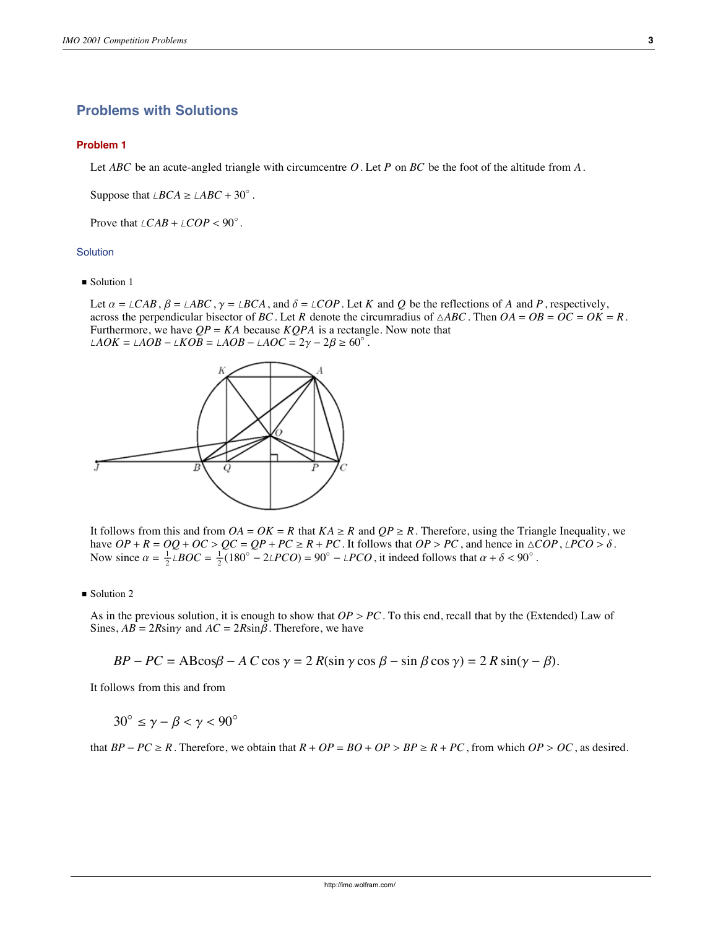# **Problems with Solutions**

#### **Problem 1**

Let *ABC* be an acute-angled triangle with circumcentre *O*. Let *P* on *BC* be the foot of the altitude from *A*.

Suppose that  $\angle BCA \geq \angle ABC + 30^{\circ}$ .

Prove that  $\angle CAB + \angle COP < 90^\circ$ .

# **Solution**

 $\blacksquare$  Solution 1

Let  $\alpha = \angle CAB$ ,  $\beta = \angle ABC$ ,  $\gamma = \angle BCA$ , and  $\delta = \angle COP$ . Let *K* and *Q* be the reflections of *A* and *P*, respectively, across the perpendicular bisector of *BC*. Let *R* denote the circumradius of  $\triangle ABC$ . Then  $OA = OB = OC = OK = R$ . Furthermore, we have  $QP = KA$  because  $KQPA$  is a rectangle. Now note that  $\angle AOK = \angle AOB - \angle KOB = \angle AOB - \angle AOC = 2\gamma - 2\beta \ge 60^{\circ}$ .



It follows from this and from  $OA = OK = R$  that  $KA \geq R$  and  $QP \geq R$ . Therefore, using the Triangle Inequality, we have  $OP + R = OQ + OC > QC = QP + PC \geq R + PC$ . It follows that  $OP > PC$ , and hence in  $\triangle COP, \angle PCO > \delta$ . Now since  $\alpha = \frac{1}{2} LBOC = \frac{1}{2} (180^\circ - 2LPCO) = 90^\circ - LPCO$ , it indeed follows that  $\alpha + \delta < 90^\circ$ .

#### Solution 2

As in the previous solution, it is enough to show that  $OP > PC$ . To this end, recall that by the (Extended) Law of Sines,  $AB = 2R\sin\gamma$  and  $AC = 2R\sin\beta$ . Therefore, we have

$$
BP - PC = ABCos\beta - AC\cos\gamma = 2R(\sin\gamma\cos\beta - \sin\beta\cos\gamma) = 2R\sin(\gamma - \beta).
$$

It follows from this and from

$$
30^{\circ} \leq \gamma - \beta < \gamma < 90^{\circ}
$$

that  $BP - PC \ge R$ . Therefore, we obtain that  $R + OP = BO + OP > BP \ge R + PC$ , from which  $OP > OC$ , as desired.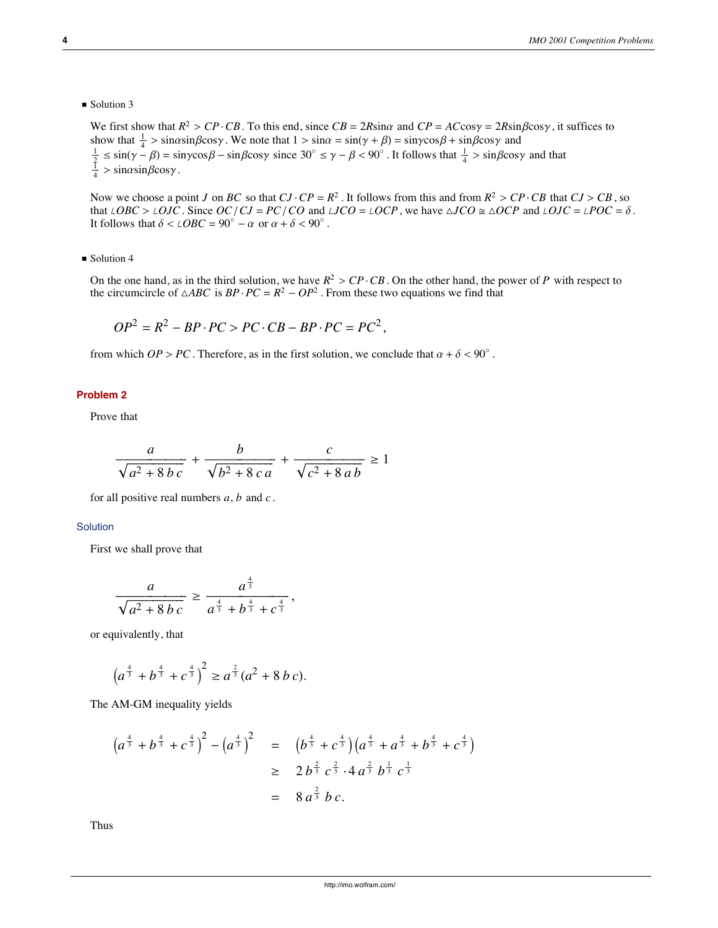Solution 3

We first show that  $R^2 > CP \cdot CB$ . To this end, since  $CB = 2R\sin\alpha$  and  $CP = AC\cos\gamma = 2R\sin\beta\cos\gamma$ , it suffices to show that  $\frac{1}{4} > \sin\alpha \sin\beta \cos\gamma$ . We note that  $1 > \sin\alpha = \sin(\gamma + \beta) = \sin\gamma \cos\beta + \sin\beta \cos\gamma$  and  $\frac{1}{\frac{1}{4}} \le \sin(\gamma - \beta) = \sin\gamma \cos\beta - \sin\beta \cos\gamma$  since  $30^\circ \le \gamma - \beta < 90^\circ$ . It follows that  $\frac{1}{\frac{1}{4}} > \sin\beta \cos\gamma$  and that  $\frac{1}{\frac{1}{4}}$ 

Now we choose a point *J* on *BC* so that  $CJ \cdot CP = R^2$ . It follows from this and from  $R^2 > CP \cdot CB$  that  $CJ > CB$ , so that  $\angle OBC > \angle OJC$ . Since  $OC/CJ = PC/CO$  and  $\angle JCO = \angle OCP$ , we have  $\triangle JCO \cong \triangle OCP$  and  $\angle OJC = \angle POC = \delta$ . It follows that  $\delta < \angle OBC = 90^\circ - \alpha$  or  $\alpha + \delta < 90^\circ$ .

Solution 4

On the one hand, as in the third solution, we have  $R^2 > CP \cdot CB$ . On the other hand, the power of *P* with respect to the circumcircle of  $\triangle ABC$  is  $BP \cdot PC = R^2 - OP^2$ . From these two equations we find that

$$
OP2 = R2 - BP \cdot PC > PC \cdot CB - BP \cdot PC = PC2,
$$

from which  $OP > PC$ . Therefore, as in the first solution, we conclude that  $\alpha + \delta < 90^\circ$ .

# **Problem 2**

Prove that

$$
\frac{a}{\sqrt{a^2+8bc}}+\frac{b}{\sqrt{b^2+8ca}}+\frac{c}{\sqrt{c^2+8ab}}\geq 1
$$

for all positive real numbers *a*, *b* and *c* .

# **Solution**

First we shall prove that

$$
\frac{a}{\sqrt{a^2 + 8bc}} \ge \frac{a^{\frac{4}{3}}}{a^{\frac{4}{3}} + b^{\frac{4}{3}} + c^{\frac{4}{3}}},
$$

or equivalently, that

$$
\left(a^{\frac{4}{3}}+b^{\frac{4}{3}}+c^{\frac{4}{3}}\right)^2 \geq a^{\frac{2}{3}}(a^2+8\,b\,c).
$$

The AM-GM inequality yields

$$
\left(a^{\frac{4}{3}} + b^{\frac{4}{3}} + c^{\frac{4}{3}}\right)^2 - \left(a^{\frac{4}{3}}\right)^2 = \left(b^{\frac{4}{3}} + c^{\frac{4}{3}}\right)\left(a^{\frac{4}{3}} + a^{\frac{4}{3}} + b^{\frac{4}{3}} + c^{\frac{4}{3}}\right)
$$
  

$$
\geq 2 b^{\frac{2}{3}} c^{\frac{2}{3}} \cdot 4 a^{\frac{2}{3}} b^{\frac{1}{3}} c^{\frac{1}{3}}
$$
  

$$
= 8 a^{\frac{2}{3}} b c.
$$

Thus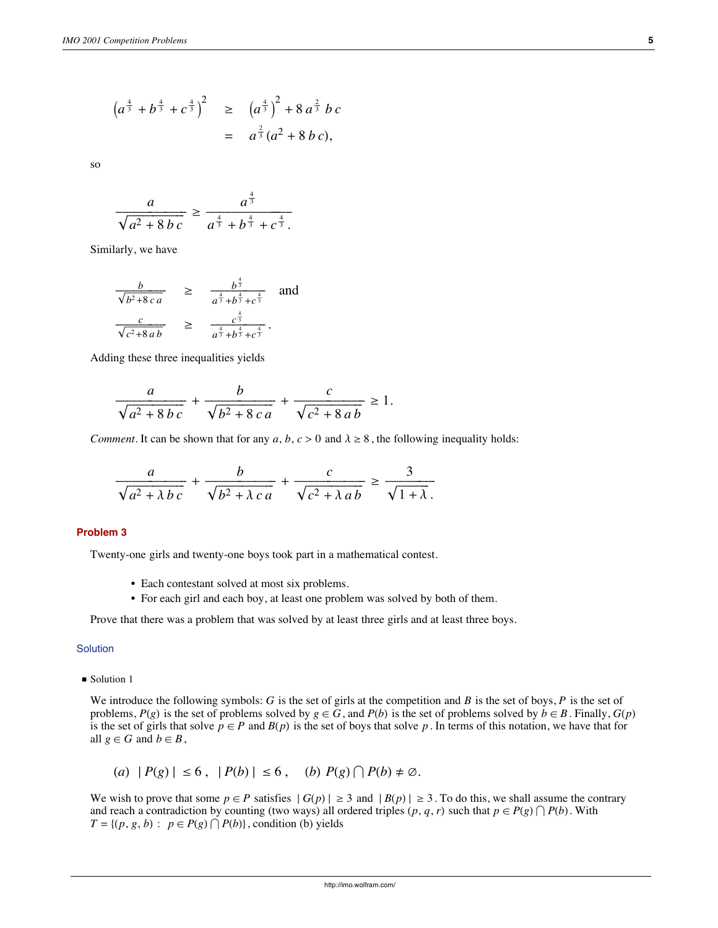$$
\left(a^{\frac{4}{3}} + b^{\frac{4}{3}} + c^{\frac{4}{3}}\right)^2 \ge \left(a^{\frac{4}{3}}\right)^2 + 8 a^{\frac{2}{3}} bc
$$
  
=  $a^{\frac{2}{3}}(a^2 + 8 bc),$ 

so

$$
\frac{a}{\sqrt{a^2 + 8bc}} \ge \frac{a^{\frac{4}{3}}}{a^{\frac{4}{3}} + b^{\frac{4}{3}} + c^{\frac{4}{3}}}.
$$

Similarly, we have

$$
\frac{b}{\sqrt{b^2 + 8ca}} \ge \frac{b^{\frac{4}{3}}}{a^{\frac{4}{3}} + b^{\frac{4}{3}} + c^{\frac{4}{3}}}
$$
 and 
$$
\frac{c}{\sqrt{c^2 + 8ab}} \ge \frac{c^{\frac{4}{3}}}{a^{\frac{4}{3}} + b^{\frac{4}{3}} + c^{\frac{4}{3}}}
$$
.

Adding these three inequalities yields

$$
\frac{a}{\sqrt{a^2 + 8bc}} + \frac{b}{\sqrt{b^2 + 8ca}} + \frac{c}{\sqrt{c^2 + 8ab}} \ge 1.
$$

*Comment*. It can be shown that for any  $a, b, c > 0$  and  $\lambda \ge 8$ , the following inequality holds:

$$
\frac{a}{\sqrt{a^2 + \lambda bc}} + \frac{b}{\sqrt{b^2 + \lambda ca}} + \frac{c}{\sqrt{c^2 + \lambda ab}} \ge \frac{3}{\sqrt{1 + \lambda}}.
$$

#### **Problem 3**

Twenty-one girls and twenty-one boys took part in a mathematical contest.

- Each contestant solved at most six problems.
- For each girl and each boy, at least one problem was solved by both of them.

Prove that there was a problem that was solved by at least three girls and at least three boys.

# Solution

■ Solution 1

We introduce the following symbols: *G* is the set of girls at the competition and *B* is the set of boys, *P* is the set of problems,  $P(g)$  is the set of problems solved by  $g \in G$ , and  $P(b)$  is the set of problems solved by  $b \in B$ . Finally,  $G(p)$ is the set of girls that solve  $p \in P$  and  $B(p)$  is the set of boys that solve p. In terms of this notation, we have that for all  $g \in G$  and  $b \in B$ ,

$$
(a) |P(g)| \leq 6, |P(b)| \leq 6, (b) P(g) \cap P(b) \neq \emptyset.
$$

We wish to prove that some  $p \in P$  satisfies  $|G(p)| \ge 3$  and  $|B(p)| \ge 3$ . To do this, we shall assume the contrary and reach a contradiction by counting (two ways) all ordered triples  $(p, q, r)$  such that  $p \in P(g) \cap P(b)$ . With  $T = \{(p, g, b): p \in P(g) \cap P(b)\},$  condition (b) yields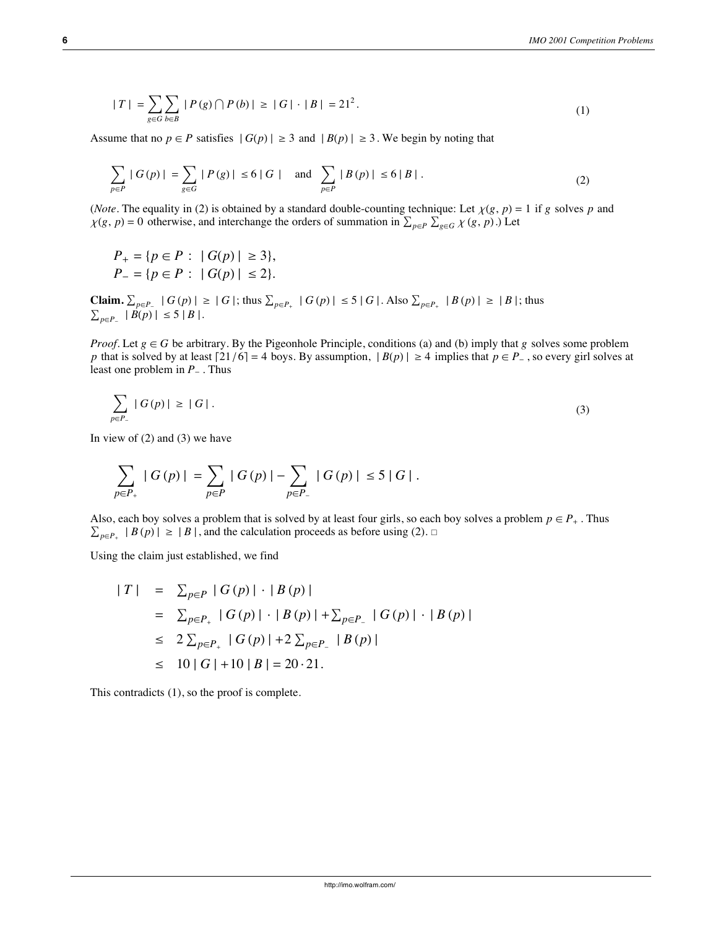$$
|T| = \sum_{g \in G} \sum_{b \in B} |P(g) \cap P(b)| \ge |G| \cdot |B| = 21^2. \tag{1}
$$

Assume that no  $p \in P$  satisfies  $|G(p)| \ge 3$  and  $|B(p)| \ge 3$ . We begin by noting that

$$
\sum_{p \in P} |G(p)| = \sum_{g \in G} |P(g)| \le 6|G| \quad \text{and} \quad \sum_{p \in P} |B(p)| \le 6|B|.
$$
 (2)

(*Note*. The equality in (2) is obtained by a standard double-counting technique: Let  $\chi(g, p) = 1$  if g solves p and  $\chi(g, p) = 0$  otherwise, and interchange the orders of summation in  $\sum_{p \in P} \sum_{g \in G}^{\infty} \chi(g, p)$ . Let

$$
P_{+} = \{ p \in P : |G(p)| \ge 3 \},
$$
  

$$
P_{-} = \{ p \in P : |G(p)| \le 2 \}.
$$

**Claim.**  $\sum_{p \in P_+} |G(p)| \ge |G|$ ; thus  $\sum_{p \in P_+} |G(p)| \le 5 |G|$ . Also  $\sum_{p \in P_+} |B(p)| \ge |B|$ ; thus  $\sum_{p \in P} |B(p)| \leq 5 |B|.$ 

*Proof.* Let  $g \in G$  be arbitrary. By the Pigeonhole Principle, conditions (a) and (b) imply that *g* solves some problem *p* that is solved by at least  $\lceil 21/6 \rceil = 4$  boys. By assumption,  $|B(p)| \ge 4$  implies that  $p \in P_{-}$ , so every girl solves at least one problem in *P* . Thus

$$
\sum_{p \in P_-} |G(p)| \ge |G| \tag{3}
$$

In view of  $(2)$  and  $(3)$  we have

$$
\sum_{p\in P_+}\mid G\left(p\right)\mid=\sum_{p\in P}\mid G\left(p\right)\mid-\sum_{p\in P_-}\mid G\left(p\right)\mid\leq 5\mid G\mid.
$$

Also, each boy solves a problem that is solved by at least four girls, so each boy solves a problem  $p \in P_+$ . Thus  $\sum_{p \in P_+} |B(p)| \geq |B|$ , and the calculation proceeds as before using (2).  $\Box$ 

Using the claim just established, we find

$$
|T| = \sum_{p \in P} |G(p)| \cdot |B(p)|
$$
  
=  $\sum_{p \in P_+} |G(p)| \cdot |B(p)| + \sum_{p \in P_-} |G(p)| \cdot |B(p)|$   
 $\leq 2 \sum_{p \in P_+} |G(p)| + 2 \sum_{p \in P_-} |B(p)|$   
 $\leq 10 |G| + 10 |B| = 20.21.$ 

This contradicts (1), so the proof is complete.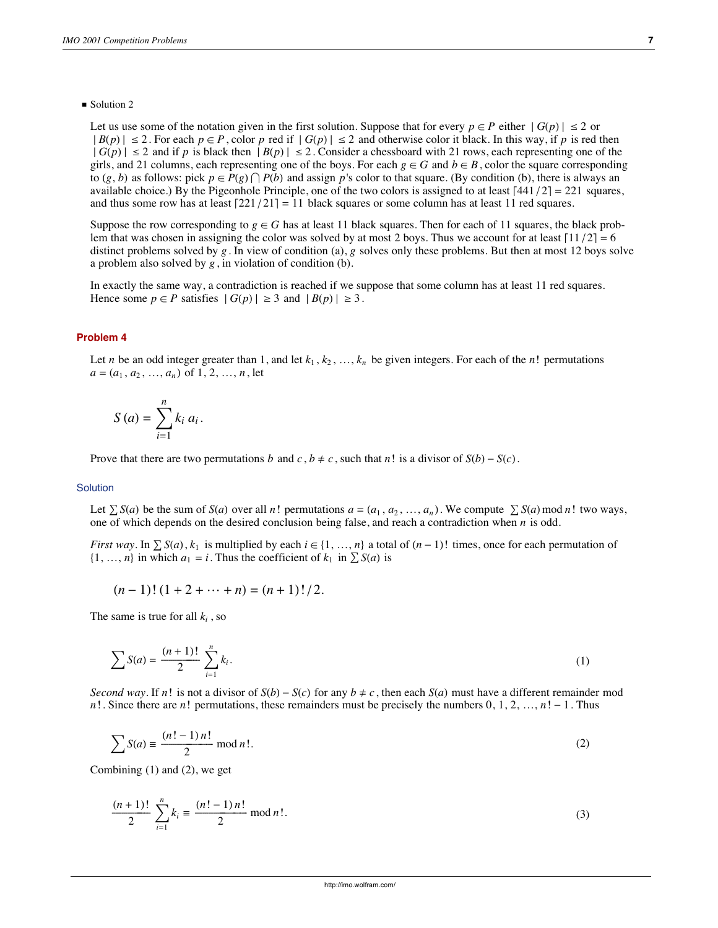#### ■ Solution 2

Let us use some of the notation given in the first solution. Suppose that for every  $p \in P$  either  $|G(p)| \le 2$  or  $|B(p)| \le 2$ . For each  $p \in P$ , color *p* red if  $|G(p)| \le 2$  and otherwise color it black. In this way, if *p* is red then  $|G(p)| \le 2$  and if *p* is black then  $|B(p)| \le 2$ . Consider a chessboard with 21 rows, each representing one of the girls, and 21 columns, each representing one of the boys. For each  $g \in G$  and  $b \in B$ , color the square corresponding to  $(g, b)$  as follows: pick  $p \in P(g) \cap P(b)$  and assign  $p$ 's color to that square. (By condition (b), there is always an available choice.) By the Pigeonhole Principle, one of the two colors is assigned to at least  $\lceil 441/2 \rceil = 221$  squares, and thus some row has at least  $\left[221/21\right] = 11$  black squares or some column has at least 11 red squares.

Suppose the row corresponding to  $g \in G$  has at least 11 black squares. Then for each of 11 squares, the black problem that was chosen in assigning the color was solved by at most 2 boys. Thus we account for at least  $\lceil 11/2 \rceil = 6$ distinct problems solved by *g*. In view of condition (a), *g* solves only these problems. But then at most 12 boys solve a problem also solved by  $g$ , in violation of condition (b).

In exactly the same way, a contradiction is reached if we suppose that some column has at least 11 red squares. Hence some  $p \in P$  satisfies  $|G(p)| \ge 3$  and  $|B(p)| \ge 3$ .

#### **Problem 4**

Let *n* be an odd integer greater than 1, and let  $k_1, k_2, ..., k_n$  be given integers. For each of the *n*! permutations  $a = (a_1, a_2, ..., a_n)$  of 1, 2, ..., *n*, let

$$
S\left(a\right) = \sum_{i=1}^{n} k_i \, a_i.
$$

Prove that there are two permutations *b* and *c*,  $b \neq c$ , such that *n*! is a divisor of  $S(b) - S(c)$ .

#### **Solution**

Let  $\sum S(a)$  be the sum of  $S(a)$  over all *n*! permutations  $a = (a_1, a_2, ..., a_n)$ . We compute  $\sum S(a)$  mod *n*! two ways, one of which depends on the desired conclusion being false, and reach a contradiction when *n* is odd.

*First way*. In  $\sum S(a)$ ,  $k_1$  is multiplied by each  $i \in \{1, ..., n\}$  a total of  $(n-1)!$  times, once for each permutation of  $\{1, ..., n\}$  in which  $a_1 = i$ . Thus the coefficient of  $k_1$  in  $\sum S(a)$  is

$$
(n-1)!\ (1+2+\cdots+n)=(n+1)!/2.
$$

The same is true for all *ki* , so

$$
\sum S(a) = \frac{(n+1)!}{2} \sum_{i=1}^{n} k_i.
$$
 (1)

*Second way*. If *n*! is not a divisor of  $S(b) - S(c)$  for any  $b \neq c$ , then each  $S(a)$  must have a different remainder mod *n*!. Since there are *n*! permutations, these remainders must be precisely the numbers  $0, 1, 2, ..., n! - 1$ . Thus

$$
\sum S(a) \equiv \frac{(n! - 1) n!}{2} \mod n!.
$$
 (2)

Combining (1) and (2), we get

$$
\frac{(n+1)!}{2} \sum_{i=1}^{n} k_i \equiv \frac{(n!-1) n!}{2} \mod n!.
$$
 (3)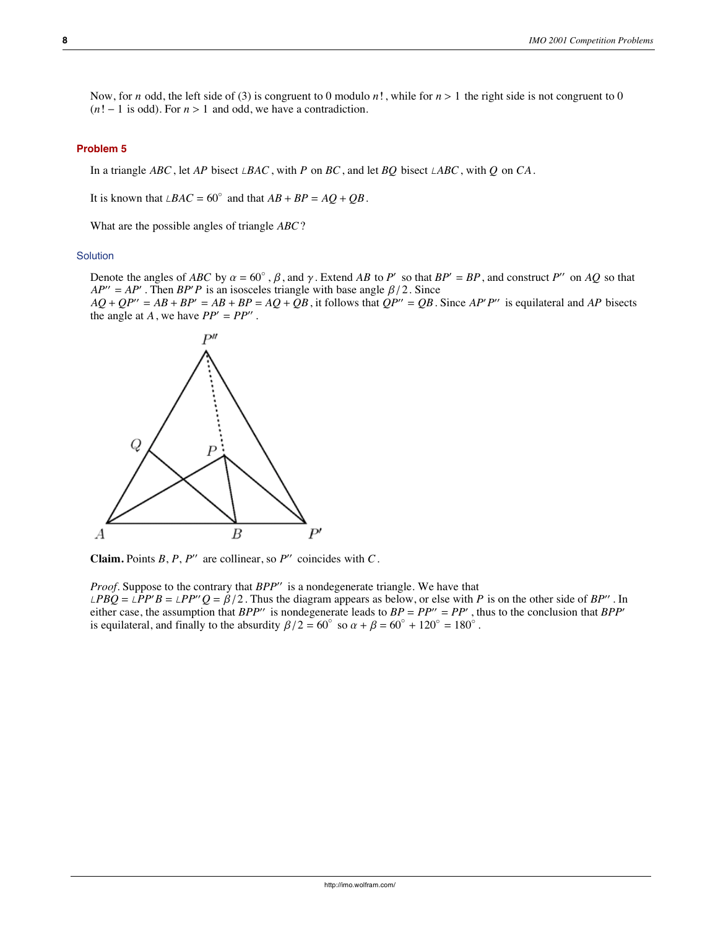Now, for *n* odd, the left side of (3) is congruent to 0 modulo *n*!, while for  $n > 1$  the right side is not congruent to 0  $(n! - 1$  is odd). For  $n > 1$  and odd, we have a contradiction.

#### **Problem 5**

In a triangle *ABC*, let *AP* bisect  $\angle BAC$ , with *P* on *BC*, and let *BQ* bisect  $\angle ABC$ , with *Q* on *CA*.

It is known that  $\angle BAC = 60^\circ$  and that  $AB + BP = AQ + QB$ .

What are the possible angles of triangle *ABC*?

#### **Solution**

Denote the angles of *ABC* by  $\alpha = 60^{\circ}$ ,  $\beta$ , and  $\gamma$ . Extend *AB* to *P'* so that  $BP' = BP$ , and construct *P''* on *AQ* so that  $AP'' = AP'$ . Then  $BP'P$  is an isosceles triangle with base angle  $\beta/2$ . Since

 $AQ + QP'' = AB + BP' = AB + BP = AQ + QB$ , it follows that  $QP'' = QB$ . Since  $AP'P''$  is equilateral and AP bisects the angle at *A*, we have  $PP' = PP''$ .



**Claim.** Points  $B, P, P''$  are collinear, so  $P''$  coincides with  $C$ .

*Proof.* Suppose to the contrary that *BPP*" is a nondegenerate triangle. We have that  $\angle P BQ = \angle P P' B = \angle P P'' Q = \beta/2$ . Thus the diagram appears as below, or else with *P* is on the other side of *BP''*. In either case, the assumption that *BPP*<sup>"</sup> is nondegenerate leads to  $BP = PP'' = PP'$ , thus to the conclusion that *BPP*<sup>'</sup> is equilateral, and finally to the absurdity  $\beta/2 = 60^\circ$  so  $\alpha + \beta = 60^\circ + 120^\circ = 180^\circ$ .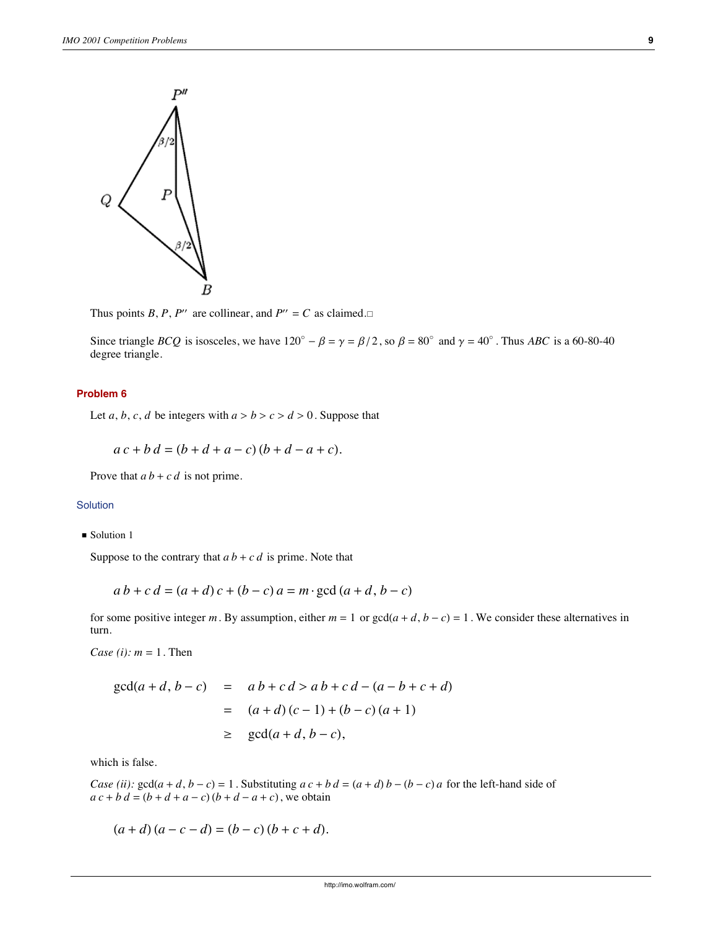

Thus points *B*, *P*, *P*<sup> $\prime\prime$ </sup> are collinear, and *P*<sup> $\prime\prime$ </sup> = *C* as claimed.

Since triangle *BCQ* is isosceles, we have  $120^{\circ} - \beta = \gamma = \beta/2$ , so  $\beta = 80^{\circ}$  and  $\gamma = 40^{\circ}$ . Thus *ABC* is a 60-80-40 degree triangle.

# **Problem 6**

Let *a*, *b*, *c*, *d* be integers with  $a > b > c > d > 0$ . Suppose that

 $a c + b d = (b + d + a - c) (b + d - a + c).$ 

Prove that  $a b + c d$  is not prime.

# Solution

Solution 1

Suppose to the contrary that  $ab + c d$  is prime. Note that

$$
a b + c d = (a + d) c + (b - c) a = m \cdot \gcd(a + d, b - c)
$$

for some positive integer *m*. By assumption, either  $m = 1$  or  $gcd(a + d, b - c) = 1$ . We consider these alternatives in turn.

*Case (i):*  $m = 1$ . Then

$$
gcd(a+d, b-c) = a b + c d > a b + c d - (a - b + c + d)
$$
  
=  $(a + d) (c - 1) + (b - c) (a + 1)$   
 $\ge$   $gcd(a + d, b - c),$ 

which is false.

*Case (ii):*  $gcd(a + d, b - c) = 1$ . Substituting  $ac + bd = (a + d)b - (b - c)a$  for the left-hand side of  $a c + b d = (b + d + a - c) (b + d - a + c)$ , we obtain

 $(a+d)(a-c-d) = (b-c)(b+c+d).$